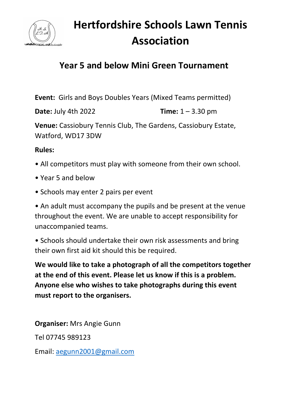

## **Hertfordshire Schools Lawn Tennis Association**

## **Year 5 and below Mini Green Tournament**

**Event:** Girls and Boys Doubles Years (Mixed Teams permitted)

**Date:** July 4th 2022 **Time:** 1 – 3.30 pm

**Venue:** Cassiobury Tennis Club, The Gardens, Cassiobury Estate, Watford, WD17 3DW

**Rules:** 

- All competitors must play with someone from their own school.
- Year 5 and below
- Schools may enter 2 pairs per event

• An adult must accompany the pupils and be present at the venue throughout the event. We are unable to accept responsibility for unaccompanied teams.

• Schools should undertake their own risk assessments and bring their own first aid kit should this be required.

**We would like to take a photograph of all the competitors together at the end of this event. Please let us know if this is a problem. Anyone else who wishes to take photographs during this event must report to the organisers.** 

**Organiser:** Mrs Angie Gunn Tel 07745 989123 Email: [aegunn2001@gmail.com](mailto:aegunn2001@gmail.com)